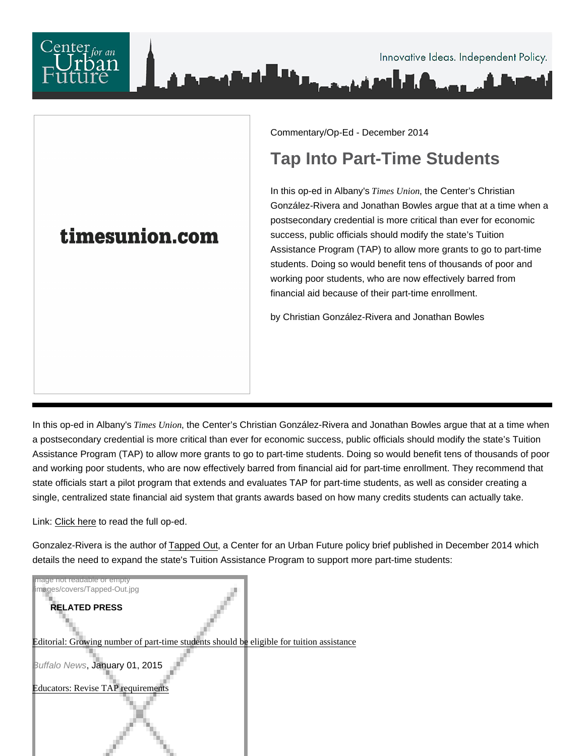

## Commentary/Op-Ed - December 2014

## Tap Into Part-Time Students

In this op-ed in Albany's Times Unionthe Center's Christian González-Rivera and Jonathan Bowles argue that at a time when a postsecondary credential is more critical than ever for economic success, public officials should modify the state's Tuition Assistance Program (TAP) to allow more grants to go to part-time students. Doing so would benefit tens of thousands of poor and working poor students, who are now effectively barred from financial aid because of their part-time enrollment.

by Christian González-Rivera and Jonathan Bowles

In this op-ed in Albany's Times Unionthe Center's Christian González-Rivera and Jonathan Bowles argue that at a time when a postsecondary credential is more critical than ever for economic success, public officials should modify the state's Tuition Assistance Program (TAP) to allow more grants to go to part-time students. Doing so would benefit tens of thousands of poor and working poor students, who are now effectively barred from financial aid for part-time enrollment. They recommend that state officials start a pilot program that extends and evaluates TAP for part-time students, as well as consider creating a single, centralized state financial aid system that grants awards based on how many credits students can actually take.

Link: [Click here](http://www.timesunion.com/opinion/article/TAP-into-part-time-students-5946072.php) to read the full op-ed.

Gonzalez-Rivera is the author of [Tapped Out](https://nycfuture.org/research/publications/tapped-out), a Center for an Urban Future policy brief published in December 2014 which details the need to expand the state's Tuition Assistance Program to support more part-time students:

Image not readable or empty /images/covers/Tapped-Out.jpg

RELATED PRESS

## [Editorial: Growing number of part-time students shou](https://nycfuture.org/research/publications/tapped-out)[ld be eligible for tuition assi](http://www.buffalonews.com/opinion/buffalo-news-editorials/growing-number-of-part-time-students-should-be-eligible-for-tuition-assistance-20150102)stance

Buffalo News, January 01, 2015

[Educators: Revise TAP requireme](http://www.legislativegazette.com/Articles-Main-Stories-c-2014-12-15-90221.113122-Educators-Revise-TAP-requirements.html)nts